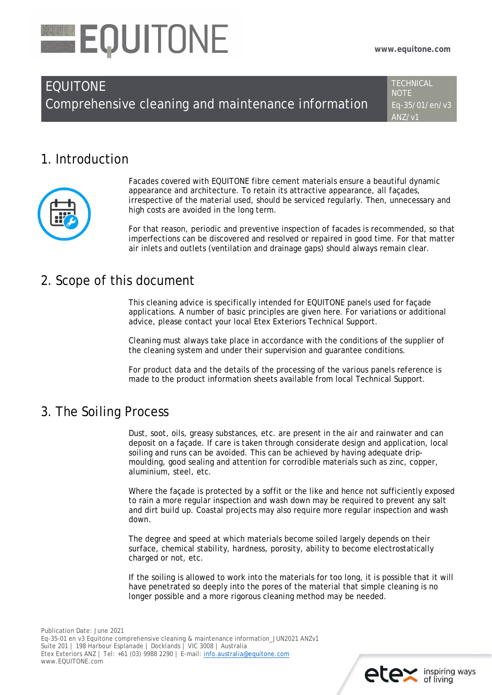# EQUITONE

# EQUITONE

Comprehensive cleaning and maintenance information

**TECHNICAL NOTE** Eq-35/01/en/v3 ANZ/v1

# 1. Introduction



Facades covered with EQUITONE fibre cement materials ensure a beautiful dynamic appearance and architecture. To retain its attractive appearance, all façades, irrespective of the material used, should be serviced regularly. Then, unnecessary and high costs are avoided in the long term.

For that reason, periodic and preventive inspection of facades is recommended, so that imperfections can be discovered and resolved or repaired in good time. For that matter air inlets and outlets (ventilation and drainage gaps) should always remain clear.

#### 2. Scope of this document

This cleaning advice is specifically intended for EQUITONE panels used for façade applications. A number of basic principles are given here. For variations or additional advice, please contact your local Etex Exteriors Technical Support.

Cleaning must always take place in accordance with the conditions of the supplier of the cleaning system and under their supervision and guarantee conditions.

For product data and the details of the processing of the various panels reference is made to the product information sheets available from local Technical Support.

### 3. The Soiling Process

Dust, soot, oils, greasy substances, etc. are present in the air and rainwater and can deposit on a façade. If care is taken through considerate design and application, local soiling and runs can be avoided. This can be achieved by having adequate dripmoulding, good sealing and attention for corrodible materials such as zinc, copper, aluminium, steel, etc.

Where the façade is protected by a soffit or the like and hence not sufficiently exposed to rain a more regular inspection and wash down may be required to prevent any salt and dirt build up. Coastal projects may also require more regular inspection and wash down.

The degree and speed at which materials become soiled largely depends on their surface, chemical stability, hardness, porosity, ability to become electrostatically charged or not, etc.

If the soiling is allowed to work into the materials for too long, it is possible that it will have penetrated so deeply into the pores of the material that simple cleaning is no longer possible and a more rigorous cleaning method may be needed.

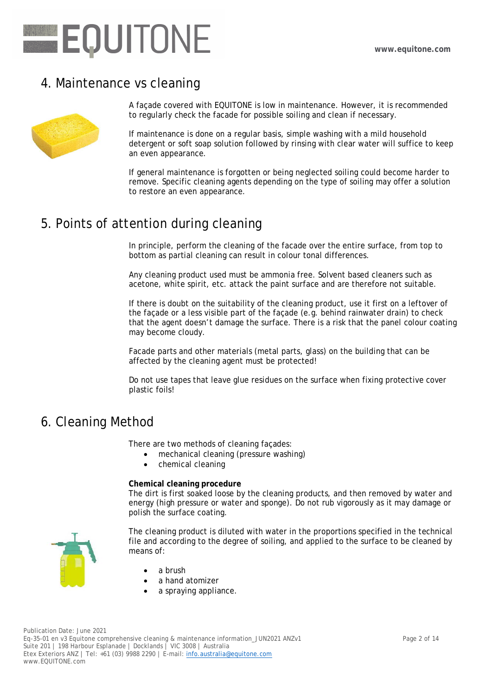

#### 4. Maintenance vs cleaning



A façade covered with EQUITONE is low in maintenance. However, it is recommended to regularly check the facade for possible soiling and clean if necessary.

If maintenance is done on a regular basis, simple washing with a mild household detergent or soft soap solution followed by rinsing with clear water will suffice to keep an even appearance.

If general maintenance is forgotten or being neglected soiling could become harder to remove. Specific cleaning agents depending on the type of soiling may offer a solution to restore an even appearance.

### 5. Points of attention during cleaning

In principle, perform the cleaning of the facade over the entire surface, from top to bottom as partial cleaning can result in colour tonal differences.

Any cleaning product used must be ammonia free. Solvent based cleaners such as acetone, white spirit, etc. attack the paint surface and are therefore not suitable.

If there is doubt on the suitability of the cleaning product, use it first on a leftover of the façade or a less visible part of the façade (e.g. behind rainwater drain) to check that the agent doesn't damage the surface. There is a risk that the panel colour coating may become cloudy.

Facade parts and other materials (metal parts, glass) on the building that can be affected by the cleaning agent must be protected!

Do not use tapes that leave glue residues on the surface when fixing protective cover plastic foils!

#### 6. Cleaning Method

There are two methods of cleaning façades:

- mechanical cleaning (pressure washing)
- chemical cleaning

**Chemical cleaning procedure**

The dirt is first soaked loose by the cleaning products, and then removed by water and energy (high pressure or water and sponge). Do not rub vigorously as it may damage or polish the surface coating.



The cleaning product is diluted with water in the proportions specified in the technical file and according to the degree of soiling, and applied to the surface to be cleaned by means of:

- a brush
- a hand atomizer
- a spraying appliance.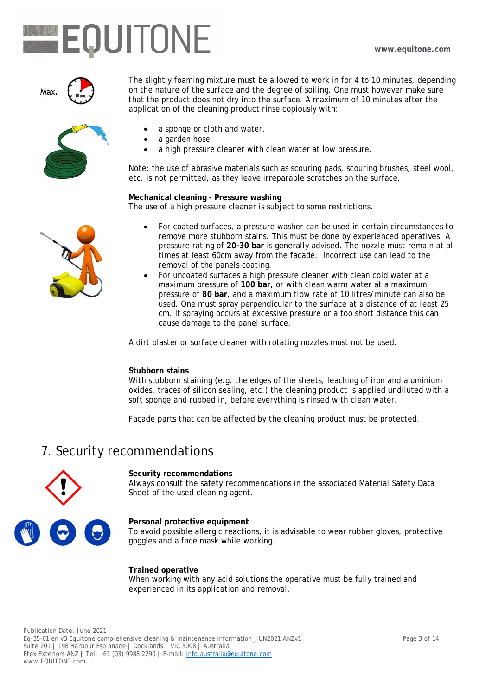# **EQUITONE**



The slightly foaming mixture must be allowed to work in for 4 to 10 minutes, depending on the nature of the surface and the degree of soiling. One must however make sure that the product does not dry into the surface. A maximum of 10 minutes after the application of the cleaning product rinse copiously with:

- 
- a sponge or cloth and water.
- a garden hose.
- a high pressure cleaner with clean water at low pressure.

Note: the use of abrasive materials such as scouring pads, scouring brushes, steel wool, etc. is not permitted, as they leave irreparable scratches on the surface.

**Mechanical cleaning - Pressure washing** The use of a high pressure cleaner is subject to some restrictions.

- For coated surfaces, a pressure washer can be used in certain circumstances to remove more stubborn stains. This must be done by experienced operatives. A pressure rating of **20-30 bar** is generally advised. The nozzle must remain at all times at least 60cm away from the facade. Incorrect use can lead to the removal of the panels coating.
- For uncoated surfaces a high pressure cleaner with clean cold water at a maximum pressure of **100 bar**, or with clean warm water at a maximum pressure of **80 bar**, and a maximum flow rate of 10 litres/minute can also be used. One must spray perpendicular to the surface at a distance of at least 25 cm. If spraying occurs at excessive pressure or a too short distance this can cause damage to the panel surface.

A dirt blaster or surface cleaner with rotating nozzles must not be used.

#### **Stubborn stains**

With stubborn staining (e.g. the edges of the sheets, leaching of iron and aluminium oxides, traces of silicon sealing, etc.) the cleaning product is applied undiluted with a soft sponge and rubbed in, before everything is rinsed with clean water.

Façade parts that can be affected by the cleaning product must be protected.

#### 7. Security recommendations



**Security recommendations** Always consult the safety recommendations in the associated Material Safety Data Sheet of the used cleaning agent.

**Personal protective equipment**

To avoid possible allergic reactions, it is advisable to wear rubber gloves, protective goggles and a face mask while working.

**Trained operative** When working with any acid solutions the operative must be fully trained and experienced in its application and removal.

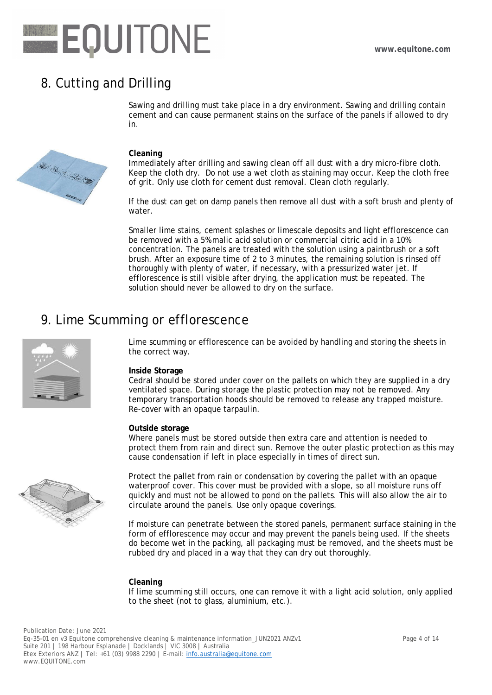# EQUITONE

# 8. Cutting and Drilling

Sawing and drilling must take place in a dry environment. Sawing and drilling contain cement and can cause permanent stains on the surface of the panels if allowed to dry in.

#### **Cleaning**

Immediately after drilling and sawing clean off all dust with a dry micro-fibre cloth. Keep the cloth dry. Do not use a wet cloth as staining may occur. Keep the cloth free of grit. Only use cloth for cement dust removal. Clean cloth regularly.

If the dust can get on damp panels then remove all dust with a soft brush and plenty of water.

Smaller lime stains, cement splashes or limescale deposits and light efflorescence can be removed with a 5% malic acid solution or commercial citric acid in a 10% concentration. The panels are treated with the solution using a paintbrush or a soft brush. After an exposure time of 2 to 3 minutes, the remaining solution is rinsed off thoroughly with plenty of water, if necessary, with a pressurized water jet. If efflorescence is still visible after drying, the application must be repeated. The solution should never be allowed to dry on the surface.

### 9. Lime Scumming or efflorescence



Lime scumming or efflorescence can be avoided by handling and storing the sheets in the correct way.

#### **Inside Storage**

Cedral should be stored under cover on the pallets on which they are supplied in a dry ventilated space. During storage the plastic protection may not be removed. Any temporary transportation hoods should be removed to release any trapped moisture. Re-cover with an opaque tarpaulin.

#### **Outside storage**

Where panels must be stored outside then extra care and attention is needed to protect them from rain and direct sun. Remove the outer plastic protection as this may cause condensation if left in place especially in times of direct sun.



Protect the pallet from rain or condensation by covering the pallet with an opaque waterproof cover. This cover must be provided with a slope, so all moisture runs off quickly and must not be allowed to pond on the pallets. This will also allow the air to circulate around the panels. Use only opaque coverings.

If moisture can penetrate between the stored panels, permanent surface staining in the form of efflorescence may occur and may prevent the panels being used. If the sheets do become wet in the packing, all packaging must be removed, and the sheets must be rubbed dry and placed in a way that they can dry out thoroughly.

#### **Cleaning**

If lime scumming still occurs, one can remove it with a light acid solution, only applied to the sheet (not to glass, aluminium, etc.).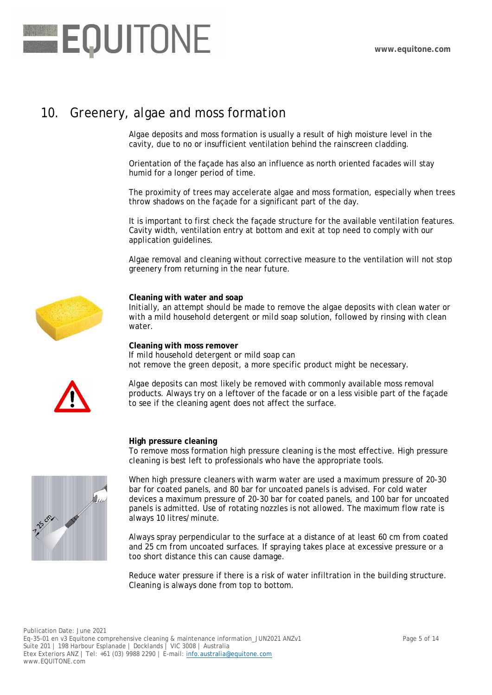

### 10. Greenery, algae and moss formation

Algae deposits and moss formation is usually a result of high moisture level in the cavity, due to no or insufficient ventilation behind the rainscreen cladding.

Orientation of the façade has also an influence as north oriented facades will stay humid for a longer period of time.

The proximity of trees may accelerate algae and moss formation, especially when trees throw shadows on the façade for a significant part of the day.

It is important to first check the façade structure for the available ventilation features. Cavity width, ventilation entry at bottom and exit at top need to comply with our application guidelines.

Algae removal and cleaning without corrective measure to the ventilation will not stop greenery from returning in the near future.



#### **Cleaning with water and soap**

Initially, an attempt should be made to remove the algae deposits with clean water or with a mild household detergent or mild soap solution, followed by rinsing with clean water.

**Cleaning with moss remover** If mild household detergent or mild soap can not remove the green deposit, a more specific product might be necessary.



Algae deposits can most likely be removed with commonly available moss removal products. Always try on a leftover of the facade or on a less visible part of the façade to see if the cleaning agent does not affect the surface.

**High pressure cleaning**

To remove moss formation high pressure cleaning is the most effective. High pressure cleaning is best left to professionals who have the appropriate tools.



When high pressure cleaners with warm water are used a maximum pressure of 20-30 bar for coated panels, and 80 bar for uncoated panels is advised. For cold water devices a maximum pressure of 20-30 bar for coated panels, and 100 bar for uncoated panels is admitted. Use of rotating nozzles is not allowed. The maximum flow rate is always 10 litres/minute.

Always spray perpendicular to the surface at a distance of at least 60 cm from coated and 25 cm from uncoated surfaces. If spraying takes place at excessive pressure or a too short distance this can cause damage.

Reduce water pressure if there is a risk of water infiltration in the building structure. Cleaning is always done from top to bottom.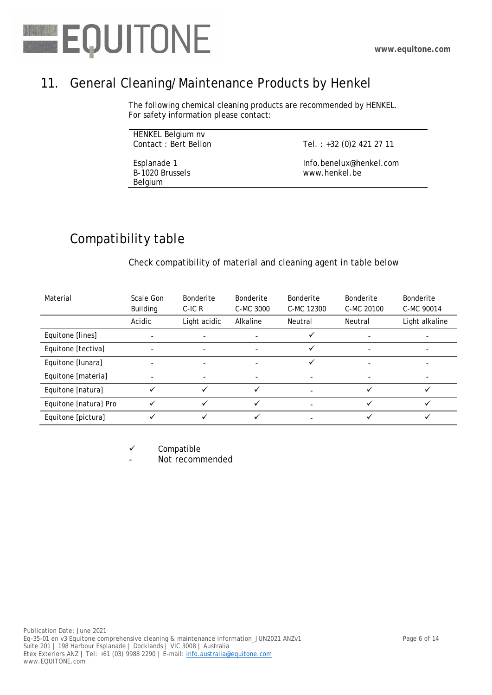

# 11. General Cleaning/Maintenance Products by Henkel

The following chemical cleaning products are recommended by HENKEL. For safety information please contact:

| HENKEL Belgium nv    |  |
|----------------------|--|
| Contact: Bert Bellon |  |

Esplanade 1 B-1020 Brussels Belgium

Tel. : +32 (0)2 421 27 11

Info.benelux@henkel.com www.henkel.be

# Compatibility table

Check compatibility of material and cleaning agent in table below

| Material              | Scale Gon<br><b>Building</b> | <b>Bonderite</b><br>$C$ -IC R | <b>Bonderite</b><br>C-MC 3000 | <b>Bonderite</b><br>C-MC 12300 | Bonderite<br>C-MC 20100 | Bonderite<br>C-MC 90014 |
|-----------------------|------------------------------|-------------------------------|-------------------------------|--------------------------------|-------------------------|-------------------------|
|                       | Acidic                       | Light acidic                  | Alkaline                      | Neutral                        | Neutral                 | Light alkaline          |
| Equitone [lines]      |                              |                               |                               |                                |                         |                         |
| Equitone [tectiva]    |                              | $\overline{\phantom{0}}$      |                               |                                | ۳                       | -                       |
| Equitone [lunara]     |                              | $\overline{\phantom{a}}$      |                               |                                | ۰                       | ۰                       |
| Equitone [materia]    |                              | $\overline{\phantom{0}}$      |                               |                                |                         |                         |
| Equitone [natura]     |                              |                               | ✓                             |                                |                         |                         |
| Equitone [natura] Pro |                              |                               | ✓                             |                                |                         |                         |
| Equitone [pictura]    |                              |                               |                               |                                |                         |                         |

 $\checkmark$  Compatible

Not recommended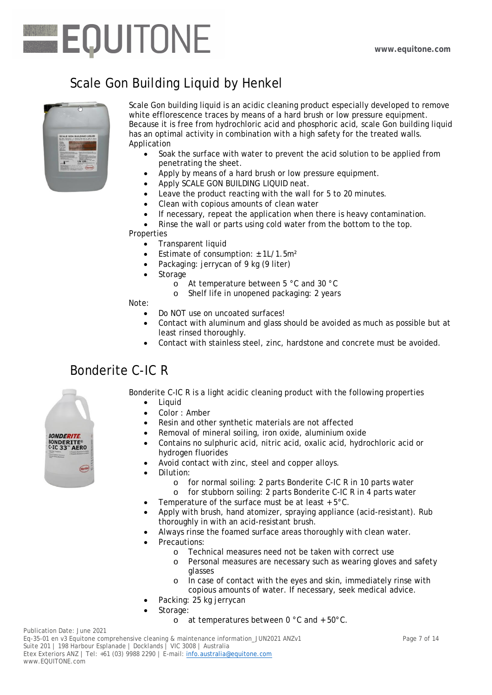

# Scale Gon Building Liquid by Henkel



Scale Gon building liquid is an acidic cleaning product especially developed to remove white efflorescence traces by means of a hard brush or low pressure equipment. Because it is free from hydrochloric acid and phosphoric acid, scale Gon building liquid has an optimal activity in combination with a high safety for the treated walls. Application

- Soak the surface with water to prevent the acid solution to be applied from penetrating the sheet.
- Apply by means of a hard brush or low pressure equipment.
- Apply SCALE GON BUILDING LIQUID neat.
- Leave the product reacting with the wall for 5 to 20 minutes.
- Clean with copious amounts of clean water
- If necessary, repeat the application when there is heavy contamination.
- Rinse the wall or parts using cold water from the bottom to the top.

**Properties** 

- Transparent liquid
- Estimate of consumption:  $± 1L/1.5m<sup>2</sup>$
- Packaging: jerrycan of 9 kg (9 liter)
- Storage
	- o At temperature between 5 °C and 30 °C
	- o Shelf life in unopened packaging: 2 years

Note:

- Do NOT use on uncoated surfaces!
- Contact with aluminum and glass should be avoided as much as possible but at least rinsed thoroughly.
- Contact with stainless steel, zinc, hardstone and concrete must be avoided.

### Bonderite C-IC R



Bonderite C-IC R is a light acidic cleaning product with the following properties • Liquid

- Color : Amber
- Resin and other synthetic materials are not affected
- Removal of mineral soiling, iron oxide, aluminium oxide
- Contains no sulphuric acid, nitric acid, oxalic acid, hydrochloric acid or hydrogen fluorides
- Avoid contact with zinc, steel and copper alloys.
- Dilution:
	-
	- o for normal soiling: 2 parts Bonderite C-IC R in 10 parts water for stubborn soiling: 2 parts Bonderite C-IC R in 4 parts water
	- Temperature of the surface must be at least + 5°C.
- Apply with brush, hand atomizer, spraying appliance (acid-resistant). Rub thoroughly in with an acid-resistant brush.
- Always rinse the foamed surface areas thoroughly with clean water.
- Precautions:
	- o Technical measures need not be taken with correct use
	- o Personal measures are necessary such as wearing gloves and safety glasses
	- o In case of contact with the eyes and skin, immediately rinse with copious amounts of water. If necessary, seek medical advice.
- Packing: 25 kg jerrycan
- Storage:
	- o at temperatures between 0 °C and + 50°C.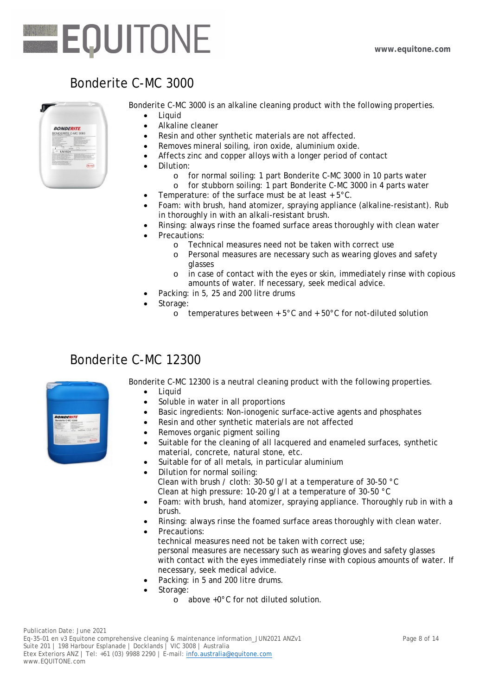# Bonderite C-MC 3000



Bonderite C-MC 3000 is an alkaline cleaning product with the following properties.

- Liquid • Alkaline cleaner
- Resin and other synthetic materials are not affected.
- Removes mineral soiling, iron oxide, aluminium oxide.
- Affects zinc and copper alloys with a longer period of contact
- Dilution:
	-
	- o for normal soiling: 1 part Bonderite C-MC 3000 in 10 parts water for stubborn soiling: 1 part Bonderite C-MC 3000 in 4 parts water
- Temperature: of the surface must be at least  $+5^{\circ}$ C.
- Foam: with brush, hand atomizer, spraying appliance (alkaline-resistant). Rub in thoroughly in with an alkali-resistant brush.
- Rinsing: always rinse the foamed surface areas thoroughly with clean water
- Precautions:
	- o Technical measures need not be taken with correct use
	- o Personal measures are necessary such as wearing gloves and safety glasses
	- o in case of contact with the eyes or skin, immediately rinse with copious amounts of water. If necessary, seek medical advice.
- Packing: in 5, 25 and 200 litre drums
- Storage:
	- $\overline{\circ}$  temperatures between + 5°C and + 50°C for not-diluted solution

## Bonderite C-MC 12300



Bonderite C-MC 12300 is a neutral cleaning product with the following properties.

- Liquid
- Soluble in water in all proportions
- Basic ingredients: Non-ionogenic surface-active agents and phosphates
- Resin and other synthetic materials are not affected
- Removes organic pigment soiling
- Suitable for the cleaning of all lacquered and enameled surfaces, synthetic material, concrete, natural stone, etc.
- Suitable for of all metals, in particular aluminium
- Dilution for normal soiling: Clean with brush / cloth: 30-50 g/l at a temperature of 30-50 °C Clean at high pressure: 10-20 g/l at a temperature of 30-50 °C
- Foam: with brush, hand atomizer, spraying appliance. Thoroughly rub in with a brush.
- Rinsing: always rinse the foamed surface areas thoroughly with clean water.
	- Precautions: technical measures need not be taken with correct use; personal measures are necessary such as wearing gloves and safety glasses with contact with the eyes immediately rinse with copious amounts of water. If necessary, seek medical advice.
- Packing: in 5 and 200 litre drums.
- Storage:
	- o above +0°C for not diluted solution.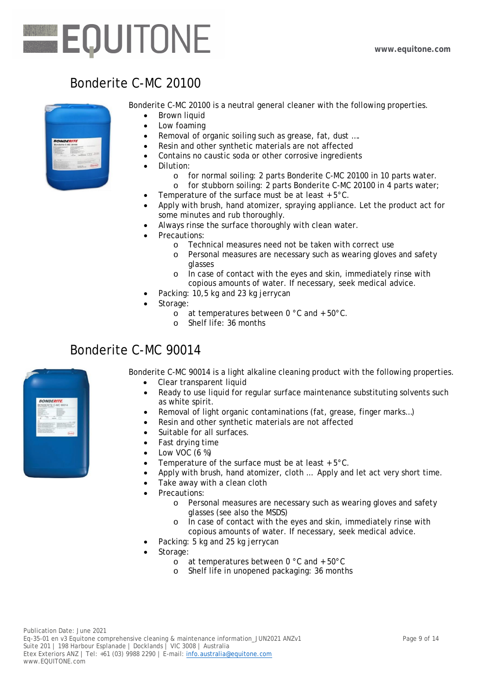## Bonderite C-MC 20100



Bonderite C-MC 20100 is a neutral general cleaner with the following properties.

- Brown liquid
- $\bullet$  Low foaming
- Removal of organic soiling such as grease, fat, dust ....
- Resin and other synthetic materials are not affected
- Contains no caustic soda or other corrosive ingredients
- Dilution:
	- o for normal soiling: 2 parts Bonderite C-MC 20100 in 10 parts water.
	- o for stubborn soiling: 2 parts Bonderite C-MC 20100 in 4 parts water;
- Temperature of the surface must be at least  $+5^{\circ}$ C.
- Apply with brush, hand atomizer, spraying appliance. Let the product act for some minutes and rub thoroughly.
- Always rinse the surface thoroughly with clean water.
- Precautions:
	- o Technical measures need not be taken with correct use
	- o Personal measures are necessary such as wearing gloves and safety glasses
	- o In case of contact with the eyes and skin, immediately rinse with copious amounts of water. If necessary, seek medical advice.
- Packing: 10,5 kg and 23 kg jerrycan
- Storage:
	- o at temperatures between 0 °C and + 50°C.
	- o Shelf life: 36 months

#### Bonderite C-MC 90014



Bonderite C-MC 90014 is a light alkaline cleaning product with the following properties.

- Clear transparent liquid
- Ready to use liquid for regular surface maintenance substituting solvents such as white spirit.
- Removal of light organic contaminations (fat, grease, finger marks…)
- Resin and other synthetic materials are not affected
- Suitable for all surfaces.
- Fast drving time
- $\bullet$  Low VOC (6 %)
- Temperature of the surface must be at least + 5°C.
- Apply with brush, hand atomizer, cloth … Apply and let act very short time.
- Take away with a clean cloth
- Precautions:
	- o Personal measures are necessary such as wearing gloves and safety glasses (see also the MSDS)
	- o In case of contact with the eyes and skin, immediately rinse with copious amounts of water. If necessary, seek medical advice.
- Packing: 5 kg and 25 kg jerrycan
- Storage:
	- o at temperatures between 0 °C and + 50°C
	- o Shelf life in unopened packaging: 36 months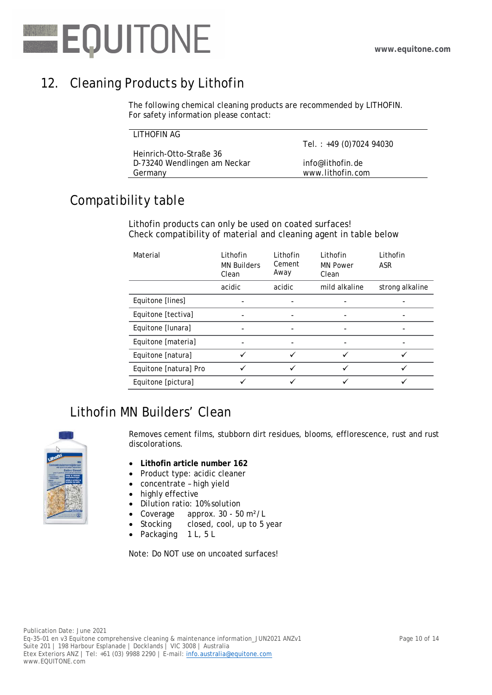

# 12. Cleaning Products by Lithofin

The following chemical cleaning products are recommended by LITHOFIN. For safety information please contact:

| LITHOFIN AG                  |                         |
|------------------------------|-------------------------|
|                              | Tel.: +49 (0)7024 94030 |
| Heinrich-Otto-Straße 36      |                         |
| D-73240 Wendlingen am Neckar | info@lithofin.de        |
| Germany                      | www.lithofin.com        |

# Compatibility table

Lithofin products can only be used on coated surfaces! Check compatibility of material and cleaning agent in table below

| Material              | Lithofin<br><b>MN Builders</b><br>Clean | Lithofin<br>Cement<br>Away | Lithofin<br><b>MN Power</b><br>Clean | Lithofin<br><b>ASR</b> |
|-----------------------|-----------------------------------------|----------------------------|--------------------------------------|------------------------|
|                       | acidic                                  | acidic                     | mild alkaline                        | strong alkaline        |
| Equitone [lines]      |                                         |                            |                                      |                        |
| Equitone [tectiva]    |                                         |                            |                                      |                        |
| Equitone [lunara]     |                                         |                            |                                      |                        |
| Equitone [materia]    |                                         |                            |                                      |                        |
| Equitone [natura]     |                                         |                            |                                      |                        |
| Equitone [natura] Pro |                                         |                            |                                      |                        |
| Equitone [pictura]    |                                         |                            |                                      |                        |

# Lithofin MN Builders' Clean



Removes cement films, stubborn dirt residues, blooms, efflorescence, rust and rust discolorations.

- **Lithofin article number 162**
- Product type: acidic cleaner
- concentrate high yield
- highly effective
- Dilution ratio: 10% solution
- Coverage approx. 30 50 m<sup>2</sup>/L
- Stocking closed, cool, up to 5 year
- Packaging 1 L, 5 L

Note: Do NOT use on uncoated surfaces!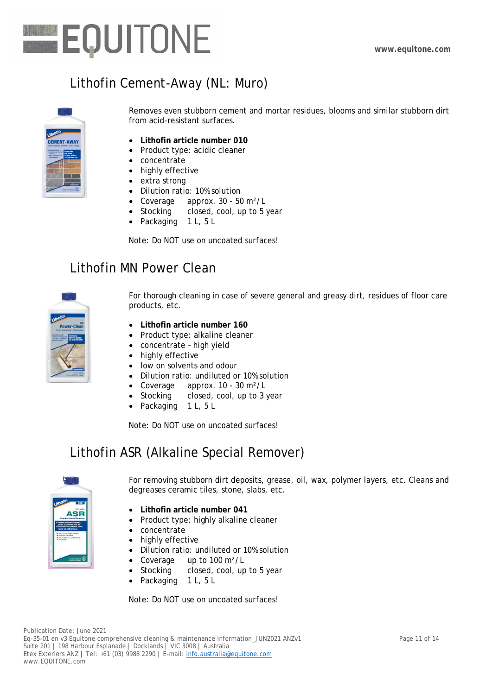

# Lithofin Cement-Away (NL: Muro)



Removes even stubborn cement and mortar residues, blooms and similar stubborn dirt from acid-resistant surfaces.

- **Lithofin article number 010**
- Product type: acidic cleaner
- concentrate
- highly effective
- extra strong
- Dilution ratio: 10% solution
- Coverage approx. 30 50 m<sup>2</sup>/L
- Stocking closed, cool, up to 5 year
- Packaging 1 L, 5 L

Note: Do NOT use on uncoated surfaces!

### Lithofin MN Power Clean



For thorough cleaning in case of severe general and greasy dirt, residues of floor care products, etc.

- **Lithofin article number 160**
- Product type: alkaline cleaner
- concentrate high yield
- highly effective
- low on solvents and odour
- Dilution ratio: undiluted or 10% solution
- Coverage approx. 10 30 m<sup>2</sup>/L
- Stocking closed, cool, up to 3 year
- Packaging 1 L, 5 L

Note: Do NOT use on uncoated surfaces!

## Lithofin ASR (Alkaline Special Remover)



For removing stubborn dirt deposits, grease, oil, wax, polymer layers, etc. Cleans and degreases ceramic tiles, stone, slabs, etc.

- **Lithofin article number 041**
- Product type: highly alkaline cleaner
- concentrate
- highly effective
- Dilution ratio: undiluted or 10% solution
- Coverage up to 100 m<sup>2</sup>/L
- Stocking closed, cool, up to 5 year
- Packaging 1 L, 5 L

Note: Do NOT use on uncoated surfaces!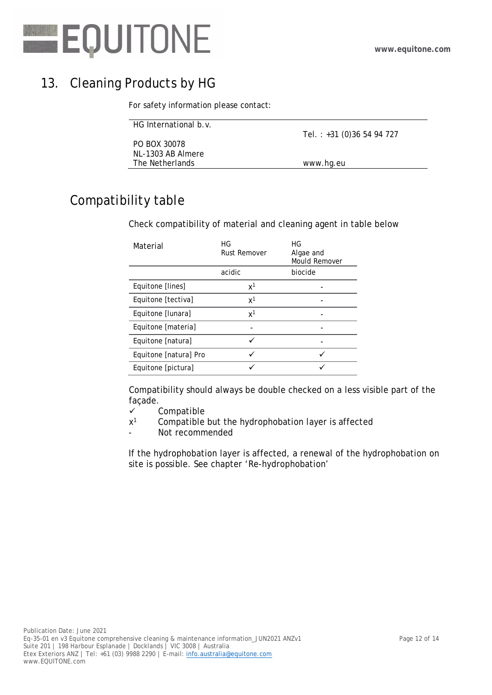

# 13. Cleaning Products by HG

For safety information please contact:

| HG International b.v. |                             |
|-----------------------|-----------------------------|
|                       | Tel.: $+31$ (0)36 54 94 727 |
| PO BOX 30078          |                             |
| NL-1303 AB Almere     |                             |
| The Netherlands       | www.hg.eu                   |
|                       |                             |

# Compatibility table

Check compatibility of material and cleaning agent in table below

| Material              | HG<br>Rust Remover | HG<br>Algae and<br><b>Mould Remover</b> |  |
|-----------------------|--------------------|-----------------------------------------|--|
|                       | acidic             | biocide                                 |  |
| Equitone [lines]      | $x^1$              |                                         |  |
| Equitone [tectiva]    | x <sup>1</sup>     |                                         |  |
| Equitone [lunara]     | $x^1$              |                                         |  |
| Equitone [materia]    |                    |                                         |  |
| Equitone [natura]     |                    |                                         |  |
| Equitone [natura] Pro |                    |                                         |  |
| Equitone [pictura]    |                    |                                         |  |

Compatibility should always be double checked on a less visible part of the façade.

- $\checkmark$  Compatible
- $x<sup>1</sup>$ Compatible but the hydrophobation layer is affected
- Not recommended

If the hydrophobation layer is affected, a renewal of the hydrophobation on site is possible. See chapter 'Re-hydrophobation'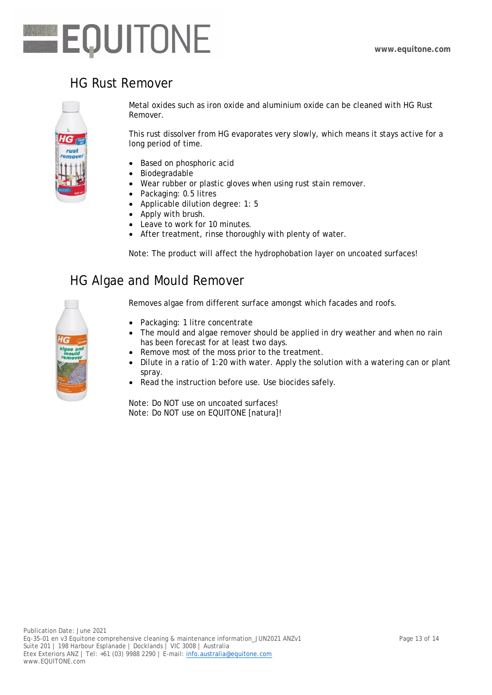

## HG Rust Remover



Metal oxides such as iron oxide and aluminium oxide can be cleaned with HG Rust Remover.

This rust dissolver from HG evaporates very slowly, which means it stays active for a long period of time.

- Based on phosphoric acid
- Biodegradable
- Wear rubber or plastic gloves when using rust stain remover.
- Packaging: 0.5 litres
- Applicable dilution degree: 1: 5
- Apply with brush.
- Leave to work for 10 minutes.
- After treatment, rinse thoroughly with plenty of water.

Note: The product will affect the hydrophobation layer on uncoated surfaces!

#### HG Algae and Mould Remover



Removes algae from different surface amongst which facades and roofs.

- Packaging: 1 litre concentrate
- The mould and algae remover should be applied in dry weather and when no rain has been forecast for at least two days.
- Remove most of the moss prior to the treatment.
- $\bullet$  Dilute in a ratio of 1:20 with water. Apply the solution with a watering can or plant spray.
- Read the instruction before use. Use biocides safely.

Note: Do NOT use on uncoated surfaces! Note: Do NOT use on EQUITONE [natura]!